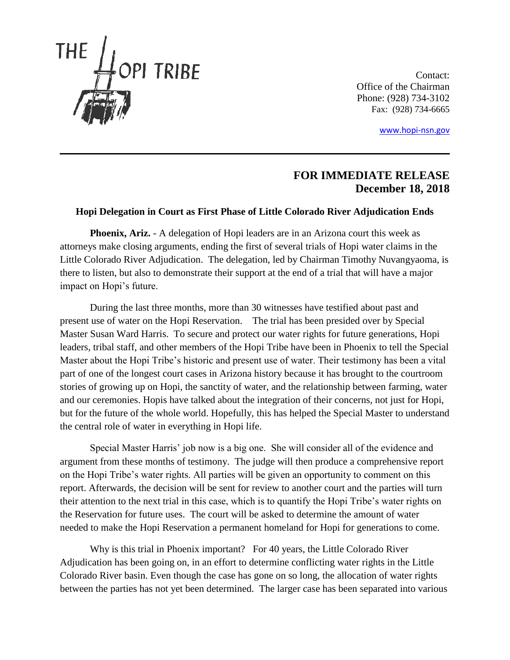

Contact: Office of the Chairman Phone: (928) 734-3102 Fax: (928) 734-6665

[www.hopi-nsn.gov](http://www.hopi-nsn.gov/)

## **FOR IMMEDIATE RELEASE December 18, 2018**

## **Hopi Delegation in Court as First Phase of Little Colorado River Adjudication Ends**

**Phoenix, Ariz.** - A delegation of Hopi leaders are in an Arizona court this week as attorneys make closing arguments, ending the first of several trials of Hopi water claims in the Little Colorado River Adjudication. The delegation, led by Chairman Timothy Nuvangyaoma, is there to listen, but also to demonstrate their support at the end of a trial that will have a major impact on Hopi's future.

During the last three months, more than 30 witnesses have testified about past and present use of water on the Hopi Reservation. The trial has been presided over by Special Master Susan Ward Harris. To secure and protect our water rights for future generations, Hopi leaders, tribal staff, and other members of the Hopi Tribe have been in Phoenix to tell the Special Master about the Hopi Tribe's historic and present use of water. Their testimony has been a vital part of one of the longest court cases in Arizona history because it has brought to the courtroom stories of growing up on Hopi, the sanctity of water, and the relationship between farming, water and our ceremonies. Hopis have talked about the integration of their concerns, not just for Hopi, but for the future of the whole world. Hopefully, this has helped the Special Master to understand the central role of water in everything in Hopi life.

Special Master Harris' job now is a big one. She will consider all of the evidence and argument from these months of testimony. The judge will then produce a comprehensive report on the Hopi Tribe's water rights. All parties will be given an opportunity to comment on this report. Afterwards, the decision will be sent for review to another court and the parties will turn their attention to the next trial in this case, which is to quantify the Hopi Tribe's water rights on the Reservation for future uses. The court will be asked to determine the amount of water needed to make the Hopi Reservation a permanent homeland for Hopi for generations to come.

Why is this trial in Phoenix important? For 40 years, the Little Colorado River Adjudication has been going on, in an effort to determine conflicting water rights in the Little Colorado River basin. Even though the case has gone on so long, the allocation of water rights between the parties has not yet been determined. The larger case has been separated into various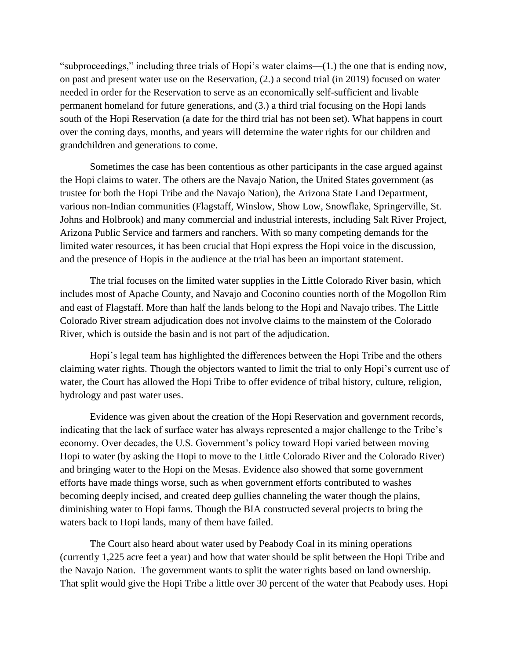"subproceedings," including three trials of Hopi's water claims—(1.) the one that is ending now, on past and present water use on the Reservation, (2.) a second trial (in 2019) focused on water needed in order for the Reservation to serve as an economically self-sufficient and livable permanent homeland for future generations, and (3.) a third trial focusing on the Hopi lands south of the Hopi Reservation (a date for the third trial has not been set). What happens in court over the coming days, months, and years will determine the water rights for our children and grandchildren and generations to come.

Sometimes the case has been contentious as other participants in the case argued against the Hopi claims to water. The others are the Navajo Nation, the United States government (as trustee for both the Hopi Tribe and the Navajo Nation), the Arizona State Land Department, various non-Indian communities (Flagstaff, Winslow, Show Low, Snowflake, Springerville, St. Johns and Holbrook) and many commercial and industrial interests, including Salt River Project, Arizona Public Service and farmers and ranchers. With so many competing demands for the limited water resources, it has been crucial that Hopi express the Hopi voice in the discussion, and the presence of Hopis in the audience at the trial has been an important statement.

The trial focuses on the limited water supplies in the Little Colorado River basin, which includes most of Apache County, and Navajo and Coconino counties north of the Mogollon Rim and east of Flagstaff. More than half the lands belong to the Hopi and Navajo tribes. The Little Colorado River stream adjudication does not involve claims to the mainstem of the Colorado River, which is outside the basin and is not part of the adjudication.

Hopi's legal team has highlighted the differences between the Hopi Tribe and the others claiming water rights. Though the objectors wanted to limit the trial to only Hopi's current use of water, the Court has allowed the Hopi Tribe to offer evidence of tribal history, culture, religion, hydrology and past water uses.

Evidence was given about the creation of the Hopi Reservation and government records, indicating that the lack of surface water has always represented a major challenge to the Tribe's economy. Over decades, the U.S. Government's policy toward Hopi varied between moving Hopi to water (by asking the Hopi to move to the Little Colorado River and the Colorado River) and bringing water to the Hopi on the Mesas. Evidence also showed that some government efforts have made things worse, such as when government efforts contributed to washes becoming deeply incised, and created deep gullies channeling the water though the plains, diminishing water to Hopi farms. Though the BIA constructed several projects to bring the waters back to Hopi lands, many of them have failed.

The Court also heard about water used by Peabody Coal in its mining operations (currently 1,225 acre feet a year) and how that water should be split between the Hopi Tribe and the Navajo Nation. The government wants to split the water rights based on land ownership. That split would give the Hopi Tribe a little over 30 percent of the water that Peabody uses. Hopi